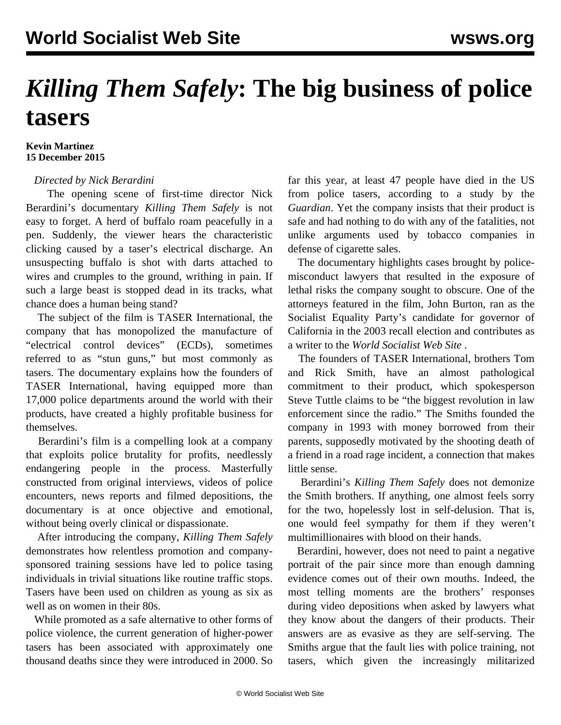# *Killing Them Safely***: The big business of police tasers**

#### **Kevin Martinez 15 December 2015**

### *Directed by Nick Berardini*

 The opening scene of first-time director Nick Berardini's documentary *Killing Them Safely* is not easy to forget. A herd of buffalo roam peacefully in a pen. Suddenly, the viewer hears the characteristic clicking caused by a taser's electrical discharge. An unsuspecting buffalo is shot with darts attached to wires and crumples to the ground, writhing in pain. If such a large beast is stopped dead in its tracks, what chance does a human being stand?

 The subject of the film is TASER International, the company that has monopolized the manufacture of "electrical control devices" (ECDs), sometimes referred to as "stun guns," but most commonly as tasers. The documentary explains how the founders of TASER International, having equipped more than 17,000 police departments around the world with their products, have created a highly profitable business for themselves.

 Berardini's film is a compelling look at a company that exploits police brutality for profits, needlessly endangering people in the process. Masterfully constructed from original interviews, videos of police encounters, news reports and filmed depositions, the documentary is at once objective and emotional, without being overly clinical or dispassionate.

 After introducing the company, *Killing Them Safely* demonstrates how relentless promotion and companysponsored training sessions have led to police tasing individuals in trivial situations like routine traffic stops. Tasers have been used on children as young as six as well as on women in their 80s.

 While promoted as a safe alternative to other forms of police violence, the current generation of higher-power tasers has been associated with approximately one thousand deaths since they were introduced in 2000. So

far this year, at least 47 people have died in the US from police tasers, according to a study by the *Guardian*. Yet the company insists that their product is safe and had nothing to do with any of the fatalities, not unlike arguments used by tobacco companies in defense of cigarette sales.

 The documentary highlights cases brought by policemisconduct lawyers that resulted in the exposure of lethal risks the company sought to obscure. One of the attorneys featured in the film, John Burton, ran as the Socialist Equality Party's candidate for governor of California in the 2003 recall election and contributes as a writer to the *World Socialist Web Site* .

 The founders of TASER International, brothers Tom and Rick Smith, have an almost pathological commitment to their product, which spokesperson Steve Tuttle claims to be "the biggest revolution in law enforcement since the radio." The Smiths founded the company in 1993 with money borrowed from their parents, supposedly motivated by the shooting death of a friend in a road rage incident, a connection that makes little sense.

 Berardini's *Killing Them Safely* does not demonize the Smith brothers. If anything, one almost feels sorry for the two, hopelessly lost in self-delusion. That is, one would feel sympathy for them if they weren't multimillionaires with blood on their hands.

 Berardini, however, does not need to paint a negative portrait of the pair since more than enough damning evidence comes out of their own mouths. Indeed, the most telling moments are the brothers' responses during video depositions when asked by lawyers what they know about the dangers of their products. Their answers are as evasive as they are self-serving. The Smiths argue that the fault lies with police training, not tasers, which given the increasingly militarized